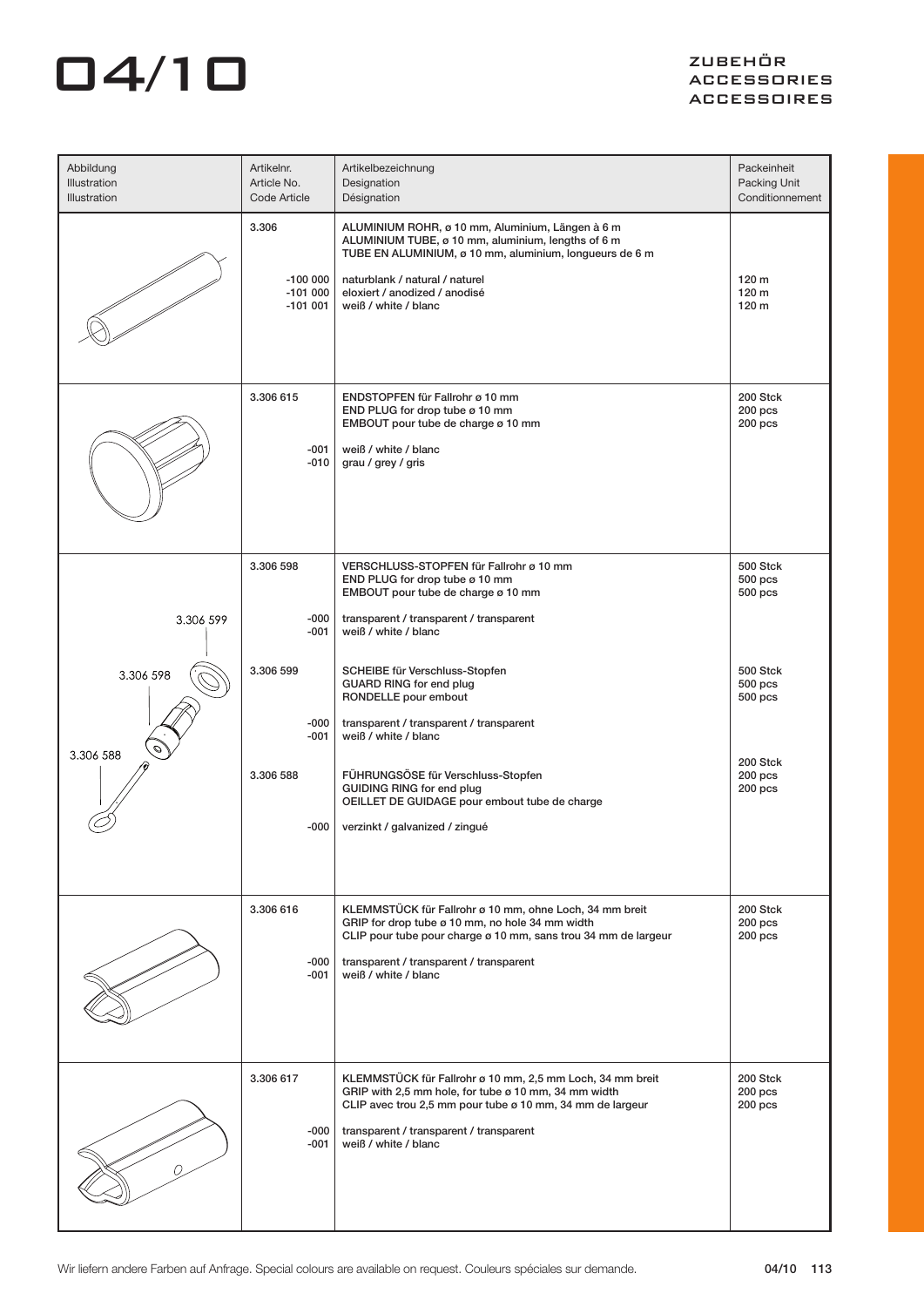| Abbildung<br>Illustration<br><b>Illustration</b> | Artikelnr.<br>Article No.<br>Code Article    | Artikelbezeichnung<br>Designation<br>Désignation                                                                                                                                                                                                             | Packeinheit<br>Packing Unit<br>Conditionnement |
|--------------------------------------------------|----------------------------------------------|--------------------------------------------------------------------------------------------------------------------------------------------------------------------------------------------------------------------------------------------------------------|------------------------------------------------|
|                                                  | 3.306<br>$-100000$<br>$-101000$<br>$-101001$ | ALUMINIUM ROHR, ø 10 mm, Aluminium, Längen à 6 m<br>ALUMINIUM TUBE, ø 10 mm, aluminium, lengths of 6 m<br>TUBE EN ALUMINIUM, ø 10 mm, aluminium, longueurs de 6 m<br>naturblank / natural / naturel<br>eloxiert / anodized / anodisé<br>weiß / white / blanc | 120 <sub>m</sub><br>120 m<br>120 m             |
|                                                  | 3.306 615<br>$-001$<br>$-010$                | ENDSTOPFEN für Fallrohr ø 10 mm<br>END PLUG for drop tube ø 10 mm<br>EMBOUT pour tube de charge ø 10 mm<br>weiß / white / blanc<br>grau / grey / gris                                                                                                        | 200 Stck<br>$200$ pcs<br>$200$ pcs             |
| 3.306 599                                        | 3.306 598<br>-000<br>-001                    | VERSCHLUSS-STOPFEN für Fallrohr ø 10 mm<br>END PLUG for drop tube ø 10 mm<br>EMBOUT pour tube de charge ø 10 mm<br>transparent / transparent / transparent<br>weiß / white / blanc                                                                           | 500 Stck<br>$500$ pcs<br>$500$ pcs             |
| 3.306 598<br>3.306 588                           | 3.306 599<br>-000<br>-001                    | SCHEIBE für Verschluss-Stopfen<br><b>GUARD RING for end plug</b><br>RONDELLE pour embout<br>transparent / transparent / transparent<br>weiß / white / blanc                                                                                                  | 500 Stck<br>500 pcs<br>500 pcs                 |
|                                                  | 3.306 588<br>-000                            | FÜHRUNGSÖSE für Verschluss-Stopfen<br><b>GUIDING RING for end plug</b><br>OEILLET DE GUIDAGE pour embout tube de charge<br>verzinkt / galvanized / zingué                                                                                                    | 200 Stck<br>$200$ pcs<br>200 pcs               |
|                                                  | 3.306 616<br>-000<br>-001                    | KLEMMSTÜCK für Fallrohr ø 10 mm, ohne Loch, 34 mm breit<br>GRIP for drop tube ø 10 mm, no hole 34 mm width<br>CLIP pour tube pour charge ø 10 mm, sans trou 34 mm de largeur<br>transparent / transparent / transparent<br>weiß / white / blanc              | 200 Stck<br>200 <sub>pos</sub><br>200 pcs      |
|                                                  | 3.306 617<br>-000<br>-001                    | KLEMMSTÜCK für Fallrohr ø 10 mm, 2,5 mm Loch, 34 mm breit<br>GRIP with 2,5 mm hole, for tube ø 10 mm, 34 mm width<br>CLIP avec trou 2,5 mm pour tube ø 10 mm, 34 mm de largeur<br>transparent / transparent / transparent<br>weiß / white / blanc            | 200 Stck<br>$200$ pcs<br>$200$ pcs             |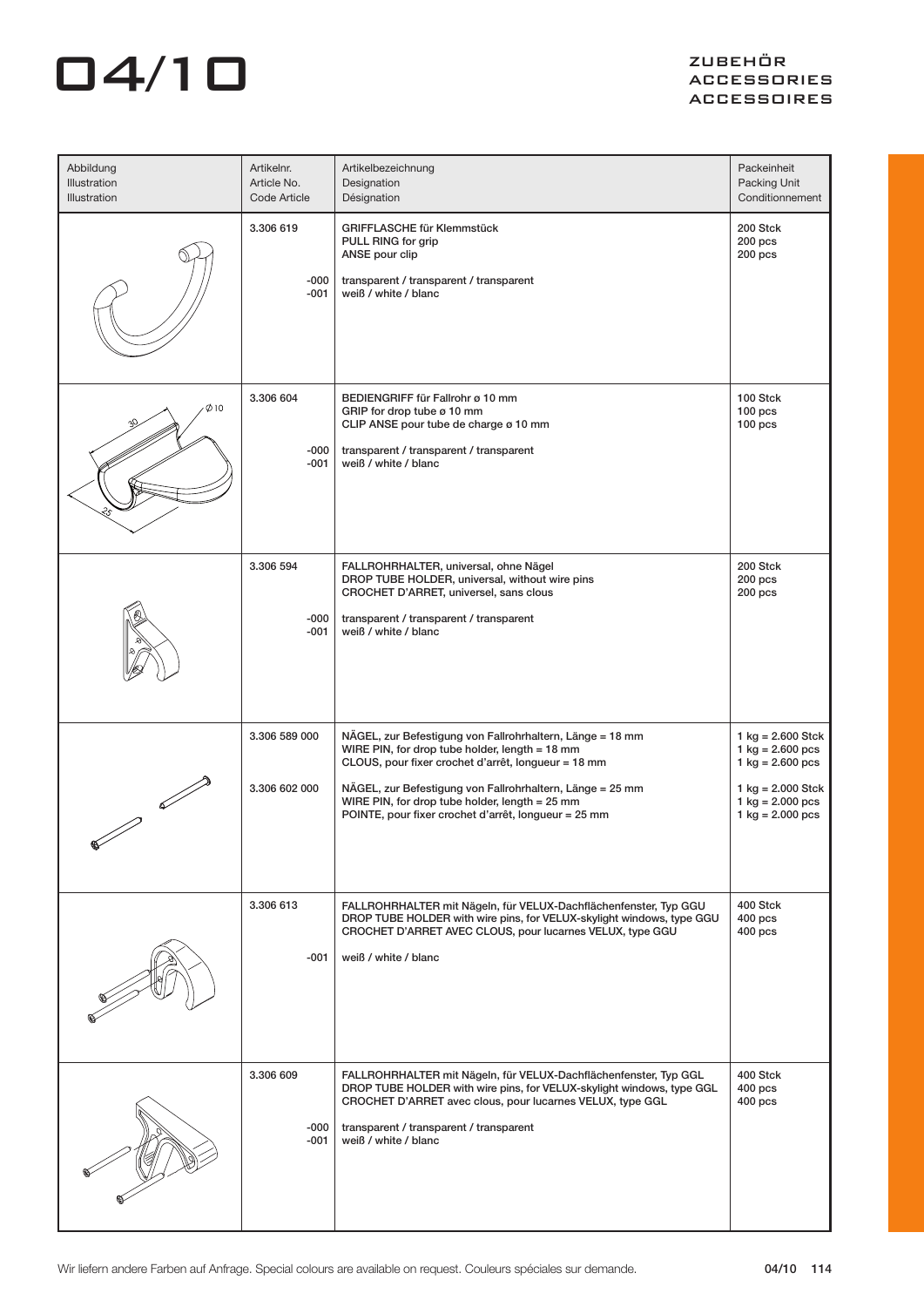| Abbildung<br>Illustration<br>Illustration | Artikelnr.<br>Article No.<br>Code Article | Artikelbezeichnung<br>Designation<br>Désignation                                                                                                                                                                                                                                                                                          | Packeinheit<br>Packing Unit<br>Conditionnement                                                                                                                                                     |
|-------------------------------------------|-------------------------------------------|-------------------------------------------------------------------------------------------------------------------------------------------------------------------------------------------------------------------------------------------------------------------------------------------------------------------------------------------|----------------------------------------------------------------------------------------------------------------------------------------------------------------------------------------------------|
|                                           | 3.306 619<br>-000<br>-001                 | <b>GRIFFLASCHE für Klemmstück</b><br>PULL RING for grip<br>ANSE pour clip<br>transparent / transparent / transparent<br>weiß / white / blanc                                                                                                                                                                                              | 200 Stck<br>$200$ pcs<br>$200$ pcs                                                                                                                                                                 |
| Ø10                                       | 3.306 604<br>-000<br>-001                 | BEDIENGRIFF für Fallrohr ø 10 mm<br>GRIP for drop tube ø 10 mm<br>CLIP ANSE pour tube de charge ø 10 mm<br>transparent / transparent / transparent<br>weiß / white / blanc                                                                                                                                                                | 100 Stck<br>$100$ pcs<br>100 <sub>pcs</sub>                                                                                                                                                        |
|                                           | 3.306 594<br>-000<br>-001                 | FALLROHRHALTER, universal, ohne Nägel<br>DROP TUBE HOLDER, universal, without wire pins<br>CROCHET D'ARRET, universel, sans clous<br>transparent / transparent / transparent<br>weiß / white / blanc                                                                                                                                      | 200 Stck<br>200 pcs<br>$200$ pcs                                                                                                                                                                   |
|                                           | 3.306 589 000<br>3.306 602 000            | NÄGEL, zur Befestigung von Fallrohrhaltern, Länge = 18 mm<br>WIRE PIN, for drop tube holder, length = 18 mm<br>CLOUS, pour fixer crochet d'arrêt, longueur = 18 mm<br>NÄGEL, zur Befestigung von Fallrohrhaltern, Länge = 25 mm<br>WIRE PIN, for drop tube holder, length = 25 mm<br>POINTE, pour fixer crochet d'arrêt, longueur = 25 mm | $1$ kg = 2.600 Stck<br>$1 \text{ kg} = 2.600 \text{ pcs}$<br>$1 \text{ kg} = 2.600 \text{ pcs}$<br>$1$ kg = 2.000 Stck<br>$1 \text{ kg} = 2.000 \text{ pcs}$<br>$1 \text{ kg} = 2.000 \text{ pcs}$ |
|                                           | 3.306 613<br>-001                         | FALLROHRHALTER mit Nägeln, für VELUX-Dachflächenfenster, Typ GGU<br>DROP TUBE HOLDER with wire pins, for VELUX-skylight windows, type GGU<br>CROCHET D'ARRET AVEC CLOUS, pour lucarnes VELUX, type GGU<br>weiß / white / blanc                                                                                                            | 400 Stck<br>$400$ pcs<br>$400$ pcs                                                                                                                                                                 |
|                                           | 3.306 609<br>-000<br>$-001$               | FALLROHRHALTER mit Nägeln, für VELUX-Dachflächenfenster, Typ GGL<br>DROP TUBE HOLDER with wire pins, for VELUX-skylight windows, type GGL<br>CROCHET D'ARRET avec clous, pour lucarnes VELUX, type GGL<br>transparent / transparent / transparent<br>weiß / white / blanc                                                                 | 400 Stck<br>$400$ pcs<br>$400$ pcs                                                                                                                                                                 |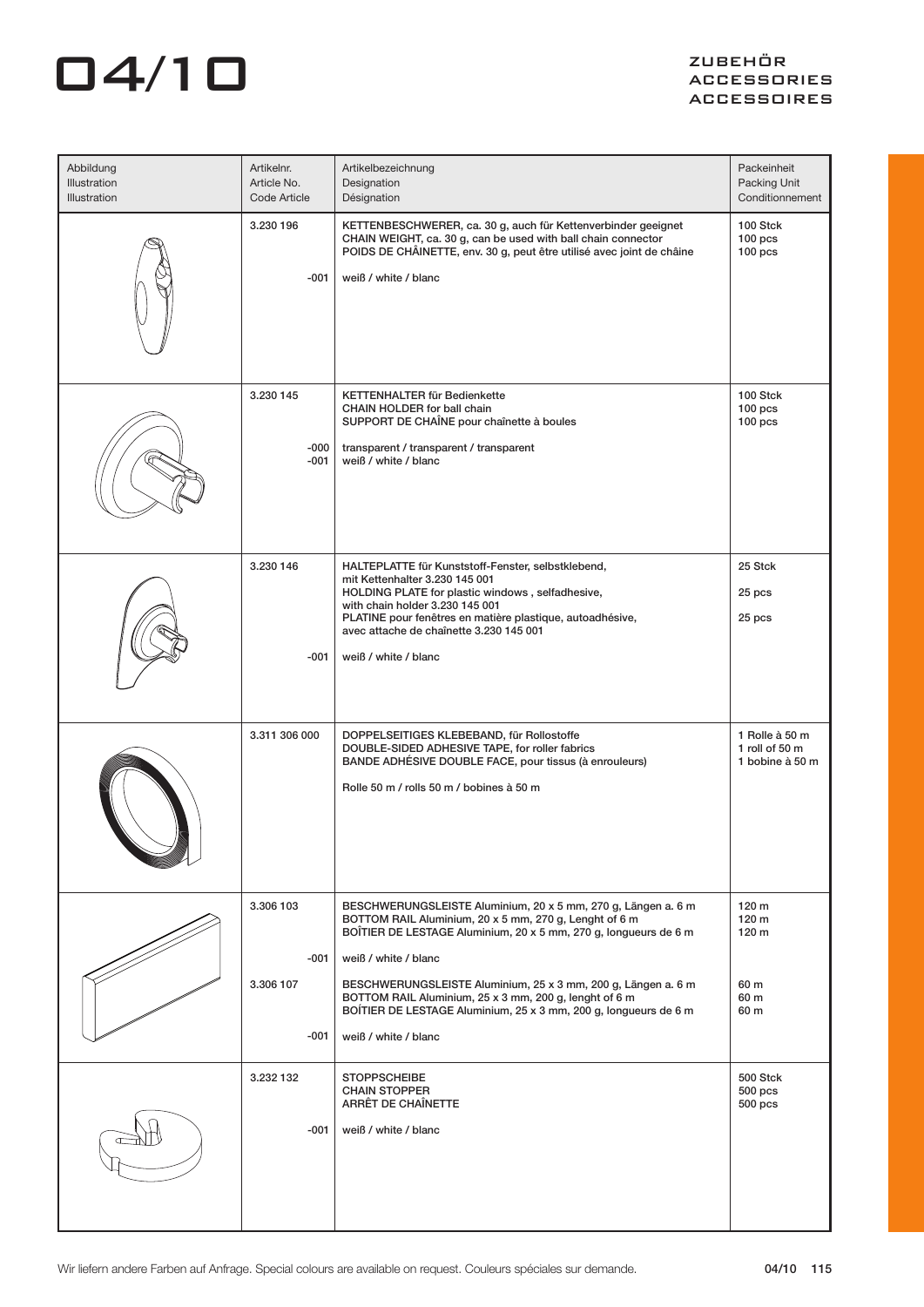| Abbildung<br>Illustration<br>Illustration | Artikelnr.<br>Article No.<br>Code Article | Artikelbezeichnung<br>Designation<br>Désignation                                                                                                                                                                                                                                                                                                                                                                                           | Packeinheit<br>Packing Unit<br>Conditionnement             |
|-------------------------------------------|-------------------------------------------|--------------------------------------------------------------------------------------------------------------------------------------------------------------------------------------------------------------------------------------------------------------------------------------------------------------------------------------------------------------------------------------------------------------------------------------------|------------------------------------------------------------|
|                                           | 3.230 196<br>$-001$                       | KETTENBESCHWERER, ca. 30 g, auch für Kettenverbinder geeignet<br>CHAIN WEIGHT, ca. 30 g, can be used with ball chain connector<br>POIDS DE CHÂINETTE, env. 30 g, peut être utilisé avec joint de châine<br>weiß / white / blanc                                                                                                                                                                                                            | 100 Stck<br>$100$ pcs<br>$100$ pcs                         |
|                                           | 3.230 145<br>-000<br>$-001$               | KETTENHALTER für Bedienkette<br>CHAIN HOLDER for ball chain<br>SUPPORT DE CHAÎNE pour chaînette à boules<br>transparent / transparent / transparent<br>weiß / white / blanc                                                                                                                                                                                                                                                                | 100 Stck<br>$100$ pcs<br>$100$ pcs                         |
|                                           | 3.230 146<br>-001                         | HALTEPLATTE für Kunststoff-Fenster, selbstklebend,<br>mit Kettenhalter 3.230 145 001<br>HOLDING PLATE for plastic windows, selfadhesive,<br>with chain holder 3.230 145 001<br>PLATINE pour fenêtres en matière plastique, autoadhésive,<br>avec attache de chaînette 3.230 145 001<br>weiß / white / blanc                                                                                                                                | 25 Stck<br>25 pcs<br>25 pcs                                |
|                                           | 3.311 306 000                             | DOPPELSEITIGES KLEBEBAND, für Rollostoffe<br>DOUBLE-SIDED ADHESIVE TAPE, for roller fabrics<br>BANDE ADHÉSIVE DOUBLE FACE, pour tissus (à enrouleurs)<br>Rolle 50 m / rolls 50 m / bobines à 50 m                                                                                                                                                                                                                                          | 1 Rolle à 50 m<br>1 roll of 50 m<br>1 bobine à 50 m        |
|                                           | 3.306 103<br>$-001$<br>3.306 107<br>-001  | BESCHWERUNGSLEISTE Aluminium, 20 x 5 mm, 270 g, Längen a. 6 m<br>BOTTOM RAIL Aluminium, 20 x 5 mm, 270 g, Lenght of 6 m<br>BOÎTIER DE LESTAGE Aluminium, 20 x 5 mm, 270 g, longueurs de 6 m<br>weiß / white / blanc<br>BESCHWERUNGSLEISTE Aluminium, 25 x 3 mm, 200 g, Längen a. 6 m<br>BOTTOM RAIL Aluminium, 25 x 3 mm, 200 g, lenght of 6 m<br>BOÍTIER DE LESTAGE Aluminium, 25 x 3 mm, 200 g, longueurs de 6 m<br>weiß / white / blanc | 120 m<br>120 m<br>120 <sub>m</sub><br>60 m<br>60 m<br>60 m |
|                                           | 3.232 132<br>$-001$                       | <b>STOPPSCHEIBE</b><br><b>CHAIN STOPPER</b><br>ARRÊT DE CHAÎNETTE<br>weiß / white / blanc                                                                                                                                                                                                                                                                                                                                                  | 500 Stck<br>$500$ pcs<br>$500$ pcs                         |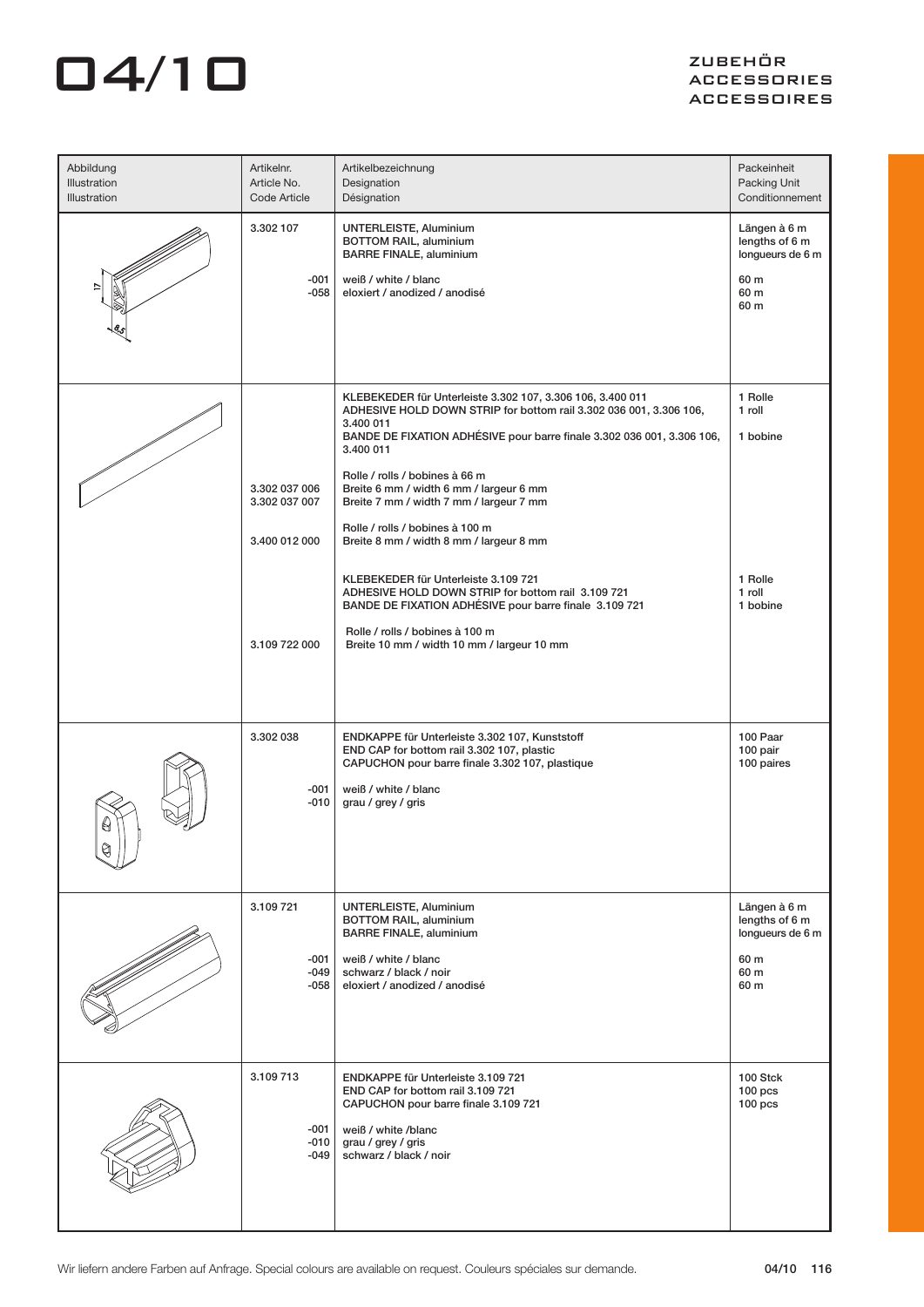| Abbildung<br>Illustration<br>Illustration | Artikelnr.<br>Article No.<br>Code Article | Artikelbezeichnung<br>Designation<br>Désignation                                                                                                                                                                        | Packeinheit<br>Packing Unit<br>Conditionnement                     |
|-------------------------------------------|-------------------------------------------|-------------------------------------------------------------------------------------------------------------------------------------------------------------------------------------------------------------------------|--------------------------------------------------------------------|
|                                           | 3.302 107<br>-001<br>$-058$               | UNTERLEISTE, Aluminium<br><b>BOTTOM RAIL, aluminium</b><br><b>BARRE FINALE, aluminium</b><br>weiß / white / blanc<br>eloxiert / anodized / anodisé                                                                      | Längen à 6 m<br>lengths of 6 m<br>longueurs de 6 m<br>60 m<br>60 m |
|                                           |                                           |                                                                                                                                                                                                                         | 60 m                                                               |
|                                           |                                           | KLEBEKEDER für Unterleiste 3.302 107, 3.306 106, 3.400 011<br>ADHESIVE HOLD DOWN STRIP for bottom rail 3.302 036 001, 3.306 106,<br>3.400 011<br>BANDE DE FIXATION ADHÉSIVE pour barre finale 3.302 036 001, 3.306 106, | 1 Rolle<br>1 roll<br>1 bobine                                      |
|                                           | 3.302 037 006<br>3.302 037 007            | 3.400 011<br>Rolle / rolls / bobines à 66 m<br>Breite 6 mm / width 6 mm / largeur 6 mm<br>Breite 7 mm / width 7 mm / largeur 7 mm                                                                                       |                                                                    |
|                                           | 3.400 012 000                             | Rolle / rolls / bobines à 100 m<br>Breite 8 mm / width 8 mm / largeur 8 mm                                                                                                                                              |                                                                    |
|                                           |                                           | KLEBEKEDER für Unterleiste 3.109 721<br>ADHESIVE HOLD DOWN STRIP for bottom rail 3.109 721<br>BANDE DE FIXATION ADHÉSIVE pour barre finale 3.109 721                                                                    | 1 Rolle<br>1 roll<br>1 bobine                                      |
|                                           | 3.109 722 000                             | Rolle / rolls / bobines à 100 m<br>Breite 10 mm / width 10 mm / largeur 10 mm                                                                                                                                           |                                                                    |
|                                           |                                           |                                                                                                                                                                                                                         |                                                                    |
|                                           | 3.302 038<br>-001<br>$-010$               | ENDKAPPE für Unterleiste 3.302 107, Kunststoff<br>END CAP for bottom rail 3.302 107, plastic<br>CAPUCHON pour barre finale 3.302 107, plastique<br>weiß / white / blanc<br>grau / grey / gris                           | 100 Paar<br>100 pair<br>100 paires                                 |
|                                           |                                           |                                                                                                                                                                                                                         |                                                                    |
|                                           | 3.109 721                                 | UNTERLEISTE, Aluminium<br>BOTTOM RAIL, aluminium<br><b>BARRE FINALE, aluminium</b>                                                                                                                                      | Längen à 6 m<br>lengths of 6 m<br>longueurs de 6 m                 |
|                                           | $-001$<br>$-049$<br>-058                  | weiß / white / blanc<br>schwarz / black / noir<br>eloxiert / anodized / anodisé                                                                                                                                         | 60 m<br>60 m<br>60 m                                               |
|                                           | 3.109 713                                 | ENDKAPPE für Unterleiste 3.109 721<br>END CAP for bottom rail 3.109 721<br>CAPUCHON pour barre finale 3.109 721                                                                                                         | 100 Stck<br>$100$ pcs<br>$100$ pcs                                 |
|                                           | -001<br>$-010$<br>-049                    | weiß / white /blanc<br>grau / grey / gris<br>schwarz / black / noir                                                                                                                                                     |                                                                    |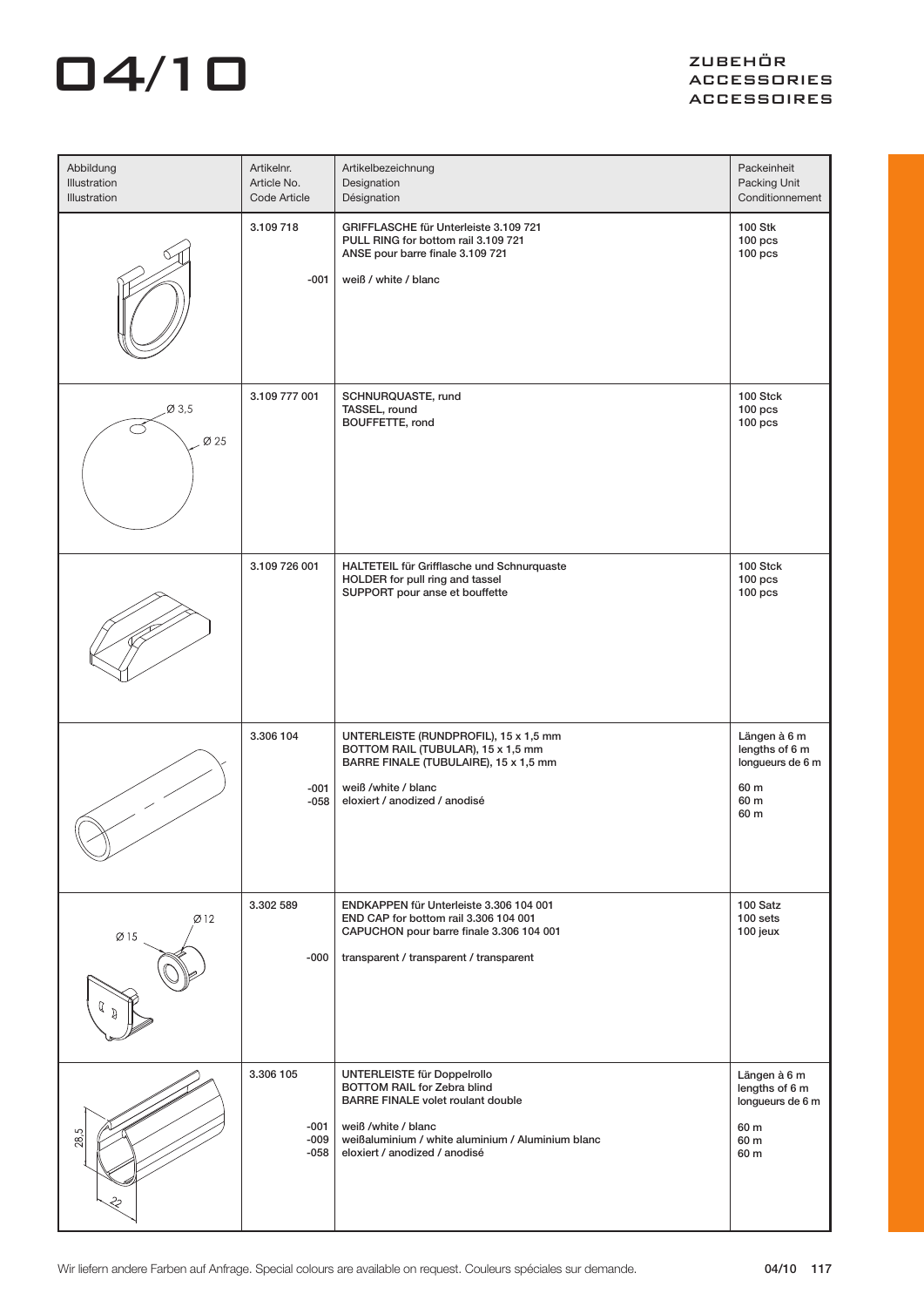| Abbildung<br>Illustration<br>Illustration | Artikelnr.<br>Article No.<br>Code Article | Artikelbezeichnung<br>Designation<br>Désignation                                                                                                                                                                    | Packeinheit<br>Packing Unit<br>Conditionnement                             |
|-------------------------------------------|-------------------------------------------|---------------------------------------------------------------------------------------------------------------------------------------------------------------------------------------------------------------------|----------------------------------------------------------------------------|
|                                           | 3.109 718<br>$-001$                       | GRIFFLASCHE für Unterleiste 3.109 721<br>PULL RING for bottom rail 3.109 721<br>ANSE pour barre finale 3.109 721<br>weiß / white / blanc                                                                            | <b>100 Stk</b><br>$100$ pcs<br>$100$ pcs                                   |
| Ø 3,5<br>Ø 25                             | 3.109 777 001                             | SCHNURQUASTE, rund<br>TASSEL, round<br>BOUFFETTE, rond                                                                                                                                                              | 100 Stck<br>$100$ pcs<br>$100$ pcs                                         |
|                                           | 3.109 726 001                             | HALTETEIL für Grifflasche und Schnurquaste<br>HOLDER for pull ring and tassel<br>SUPPORT pour anse et bouffette                                                                                                     | 100 Stck<br>$100$ pcs<br>$100$ pcs                                         |
|                                           | 3.306 104<br>-001<br>-058                 | UNTERLEISTE (RUNDPROFIL), 15 x 1,5 mm<br>BOTTOM RAIL (TUBULAR), 15 x 1,5 mm<br>BARRE FINALE (TUBULAIRE), 15 x 1,5 mm<br>weiß /white / blanc<br>eloxiert / anodized / anodisé                                        | Längen à 6 m<br>lengths of 6 m<br>longueurs de 6 m<br>60 m<br>60 m<br>60 m |
| Ø12<br>Ø15<br>a                           | 3.302 589<br>-000                         | ENDKAPPEN für Unterleiste 3.306 104 001<br>END CAP for bottom rail 3.306 104 001<br>CAPUCHON pour barre finale 3.306 104 001<br>transparent / transparent / transparent                                             | 100 Satz<br>100 sets<br>100 jeux                                           |
| 28,5<br>此                                 | 3.306 105<br>-001<br>$-009$<br>-058       | UNTERLEISTE für Doppelrollo<br>BOTTOM RAIL for Zebra blind<br><b>BARRE FINALE volet roulant double</b><br>weiß /white / blanc<br>weißaluminium / white aluminium / Aluminium blanc<br>eloxiert / anodized / anodisé | Längen à 6 m<br>lengths of 6 m<br>longueurs de 6 m<br>60 m<br>60 m<br>60 m |